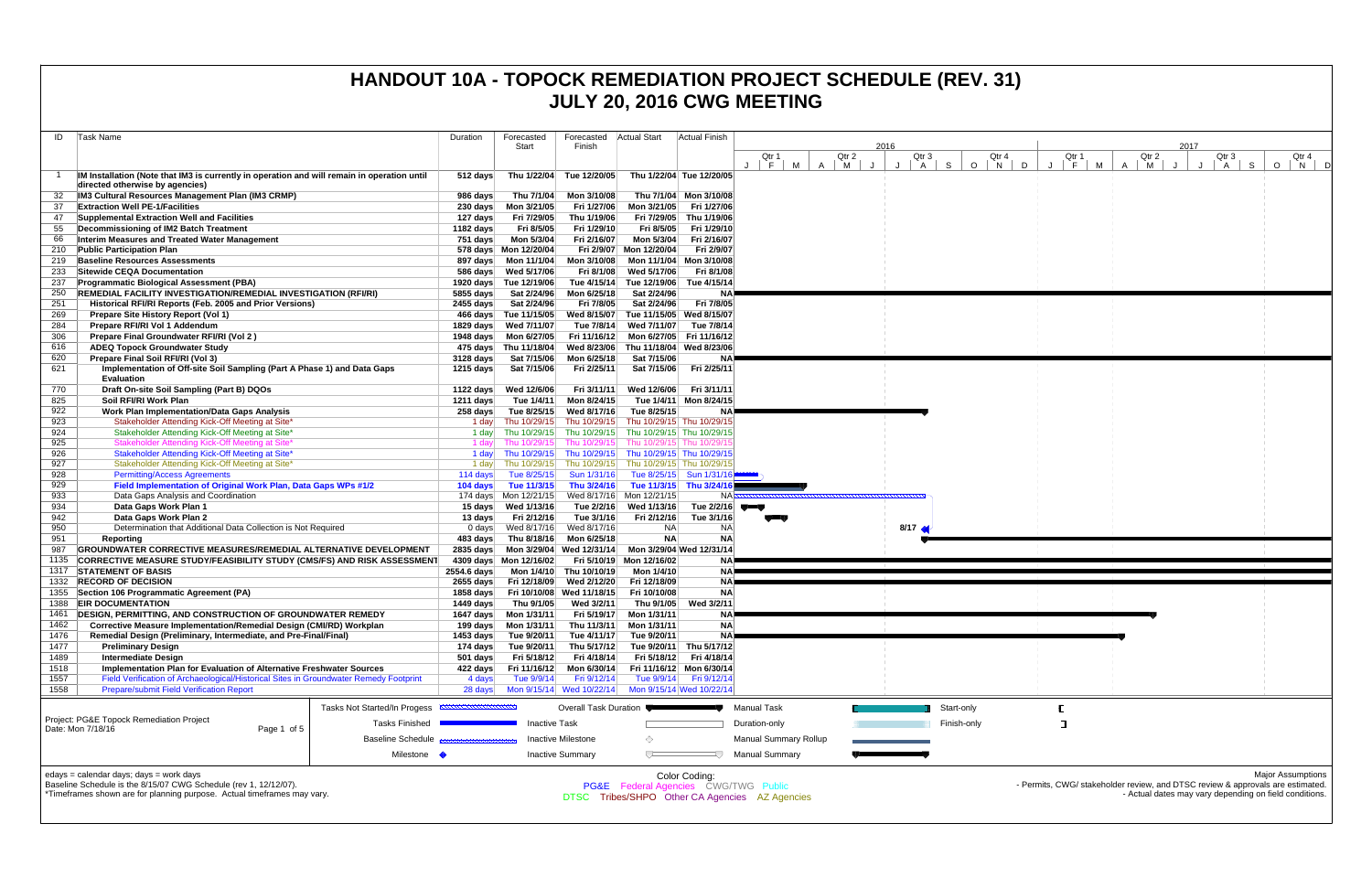| ID           | Task Name                                                                                          | Duration             | Forecasted                                     | Forecasted                 | Actual Start                                                                     | <b>Actual Finish</b>                                |                                                |          |                        |                    |              |                                                                                |        |                                                        |                                 |                          |
|--------------|----------------------------------------------------------------------------------------------------|----------------------|------------------------------------------------|----------------------------|----------------------------------------------------------------------------------|-----------------------------------------------------|------------------------------------------------|----------|------------------------|--------------------|--------------|--------------------------------------------------------------------------------|--------|--------------------------------------------------------|---------------------------------|--------------------------|
|              |                                                                                                    |                      | Start                                          | Finish                     |                                                                                  |                                                     | Qtr 1                                          | Qtr 2    | 2016                   | Qtr 3              | Qtr 4        | Qtr 1                                                                          | Qtr 2  | 2017                                                   | Qtr 3                           | Qtr 4                    |
|              |                                                                                                    |                      |                                                |                            |                                                                                  |                                                     | $F \parallel$<br><b>M</b>                      | <b>M</b> |                        | $\mathsf{A}$<br>S. | $O$   N<br>D | F                                                                              | M<br>M |                                                        | $\circ$<br>$\overline{A}$<br>-S | N                        |
|              | IM Installation (Note that IM3 is currently in operation and will remain in operation until        | $512$ days           | Thu 1/22/04                                    | Tue 12/20/05               |                                                                                  | Thu 1/22/04 Tue 12/20/05                            |                                                |          |                        |                    |              |                                                                                |        |                                                        |                                 |                          |
|              | directed otherwise by agencies)                                                                    |                      |                                                |                            |                                                                                  |                                                     |                                                |          |                        |                    |              |                                                                                |        |                                                        |                                 |                          |
| 32<br>37     | IM3 Cultural Resources Management Plan (IM3 CRMP)<br><b>Extraction Well PE-1/Facilities</b>        | 986 days<br>230 days | Thu 7/1/04<br>Mon 3/21/05                      | Mon 3/10/08<br>Fri 1/27/06 | Mon 3/21/05                                                                      | Thu 7/1/04 Mon 3/10/08<br>Fri 1/27/06               |                                                |          |                        |                    |              |                                                                                |        |                                                        |                                 |                          |
| 47           | Supplemental Extraction Well and Facilities                                                        | 127 days             | Fri 7/29/05                                    | Thu 1/19/06                | Fri 7/29/05                                                                      | Thu 1/19/06                                         |                                                |          |                        |                    |              |                                                                                |        |                                                        |                                 |                          |
| 55           | Decommissioning of IM2 Batch Treatment                                                             | 1182 days            | Fri 8/5/05                                     | Fri 1/29/10                | Fri 8/5/05                                                                       | Fri 1/29/10                                         |                                                |          |                        |                    |              |                                                                                |        |                                                        |                                 |                          |
| 66           | Interim Measures and Treated Water Management                                                      | 751 days             | Mon 5/3/04                                     | Fri 2/16/07                | Mon 5/3/04                                                                       | Fri 2/16/07                                         |                                                |          |                        |                    |              |                                                                                |        |                                                        |                                 |                          |
| 210          | <b>Public Participation Plan</b>                                                                   |                      | 578 days Mon 12/20/04                          |                            | Fri 2/9/07 Mon 12/20/04                                                          | Fri 2/9/07                                          |                                                |          |                        |                    |              |                                                                                |        |                                                        |                                 |                          |
| 219          | <b>Baseline Resources Assessments</b>                                                              |                      |                                                | Mon 3/10/08                | Mon 11/1/04                                                                      | Mon 3/10/08                                         |                                                |          |                        |                    |              |                                                                                |        |                                                        |                                 |                          |
| 233          | Sitewide CEQA Documentation                                                                        |                      |                                                | Fri 8/1/08                 | Wed 5/17/06                                                                      | Fri 8/1/08                                          |                                                |          |                        |                    |              |                                                                                |        |                                                        |                                 |                          |
| 237          | Programmatic Biological Assessment (PBA)                                                           |                      | 1920 days Tue 12/19/06                         | Tue 4/15/14                | Tue 12/19/06                                                                     | Tue 4/15/14                                         |                                                |          |                        |                    |              |                                                                                |        |                                                        |                                 |                          |
| 250          | REMEDIAL FACILITY INVESTIGATION/REMEDIAL INVESTIGATION (RFI/RI)                                    | 5855 days            | Sat 2/24/96                                    | Mon 6/25/18                | Sat 2/24/96                                                                      | N/                                                  |                                                |          |                        |                    |              |                                                                                |        |                                                        |                                 |                          |
| 251          | Historical RFI/RI Reports (Feb. 2005 and Prior Versions)                                           |                      | 2455 days Sat 2/24/96                          | Fri 7/8/05                 | Sat 2/24/96                                                                      | Fri 7/8/05                                          |                                                |          |                        |                    |              |                                                                                |        |                                                        |                                 |                          |
| 269<br>284   | Prepare Site History Report (Vol 1)<br>Prepare RFI/RI Vol 1 Addendum                               |                      | 466 days Tue 11/15/05<br>1829 days Wed 7/11/07 | Tue 7/8/14                 | Wed 8/15/07 Tue 11/15/05 Wed 8/15/07<br>Wed 7/11/07                              | Tue 7/8/14                                          |                                                |          |                        |                    |              |                                                                                |        |                                                        |                                 |                          |
| 306          | Prepare Final Groundwater RFI/RI (Vol 2)                                                           |                      | 1948 days    Mon 6/27/05                       |                            | Fri 11/16/12 Mon 6/27/05 Fri 11/16/12                                            |                                                     |                                                |          |                        |                    |              |                                                                                |        |                                                        |                                 |                          |
| 616          | <b>ADEQ Topock Groundwater Study</b>                                                               |                      | 475 days Thu 11/18/04                          |                            | Wed 8/23/06 Thu 11/18/04 Wed 8/23/06                                             |                                                     |                                                |          |                        |                    |              |                                                                                |        |                                                        |                                 |                          |
| 620          | Prepare Final Soil RFI/RI (Vol 3)                                                                  | 3128 days            | Sat 7/15/06                                    | Mon 6/25/18                | Sat 7/15/06                                                                      | N                                                   |                                                |          |                        |                    |              |                                                                                |        |                                                        |                                 |                          |
| 621          | Implementation of Off-site Soil Sampling (Part A Phase 1) and Data Gaps                            | 1215 days            | Sat 7/15/06                                    | Fri 2/25/11                | Sat 7/15/06                                                                      | Fri 2/25/11                                         |                                                |          |                        |                    |              |                                                                                |        |                                                        |                                 |                          |
|              | <b>Evaluation</b>                                                                                  |                      |                                                |                            |                                                                                  |                                                     |                                                |          |                        |                    |              |                                                                                |        |                                                        |                                 |                          |
| 770          | Draft On-site Soil Sampling (Part B) DQOs                                                          | 1122 days            | Wed 12/6/06                                    | Fri 3/11/11                | Wed 12/6/06                                                                      | Fri 3/11/11                                         |                                                |          |                        |                    |              |                                                                                |        |                                                        |                                 |                          |
| 825          | Soil RFI/RI Work Plan                                                                              | 1211 days            | Tue 1/4/11                                     | Mon 8/24/15                |                                                                                  | Tue 1/4/11 Mon 8/24/15                              |                                                |          |                        |                    |              |                                                                                |        |                                                        |                                 |                          |
| 922          | <b>Work Plan Implementation/Data Gaps Analysis</b>                                                 | 258 days             | Tue 8/25/15                                    | Wed 8/17/16                | Tue 8/25/15                                                                      |                                                     |                                                |          |                        |                    |              |                                                                                |        |                                                        |                                 |                          |
| 923<br>924   | Stakeholder Attending Kick-Off Meeting at Site*<br>Stakeholder Attending Kick-Off Meeting at Site* | 1 day                | 1 day Thu 10/29/15<br>Thu 10/29/15             |                            | Thu 10/29/15 Thu 10/29/15 Thu 10/29/15<br>Thu 10/29/15 Thu 10/29/15 Thu 10/29/15 |                                                     |                                                |          |                        |                    |              |                                                                                |        |                                                        |                                 |                          |
| 925          | Stakeholder Attending Kick-Off Meeting at Site*                                                    | 1 day                | Thu 10/29/15                                   |                            | Thu 10/29/15 Thu 10/29/15 Thu 10/29/1                                            |                                                     |                                                |          |                        |                    |              |                                                                                |        |                                                        |                                 |                          |
| 926          | Stakeholder Attending Kick-Off Meeting at Site*                                                    | 1 day                | Thu 10/29/15                                   |                            | Thu 10/29/15 Thu 10/29/15 Thu 10/29/15                                           |                                                     |                                                |          |                        |                    |              |                                                                                |        |                                                        |                                 |                          |
| 927          | Stakeholder Attending Kick-Off Meeting at Site*                                                    | 1 day                | Thu 10/29/15                                   |                            | Thu 10/29/15 Thu 10/29/15 Thu 10/29/15                                           |                                                     |                                                |          |                        |                    |              |                                                                                |        |                                                        |                                 |                          |
| 928          | <b>Permitting/Access Agreements</b>                                                                | 114 days             | Tue 8/25/15                                    | Sun 1/31/16                |                                                                                  | Tue 8/25/15 Sun 1/31/16                             |                                                |          |                        |                    |              |                                                                                |        |                                                        |                                 |                          |
| 929          | Field Implementation of Original Work Plan, Data Gaps WPs #1/2                                     | 104 days             | Tue 11/3/15                                    | Thu 3/24/16                |                                                                                  | Tue 11/3/15 Thu 3/24/16                             |                                                |          |                        |                    |              |                                                                                |        |                                                        |                                 |                          |
| 933          | Data Gaps Analysis and Coordination                                                                |                      | 174 days Mon 12/21/15                          |                            | Wed 8/17/16 Mon 12/21/15                                                         | <b>NA</b>                                           |                                                |          |                        |                    |              |                                                                                |        |                                                        |                                 |                          |
| 934          | Data Gaps Work Plan 1                                                                              |                      | 15 days Wed 1/13/16                            | Tue 2/2/16                 | Wed 1/13/16                                                                      | Tue $2/2/16$ $\blacksquare$                         |                                                |          |                        |                    |              |                                                                                |        |                                                        |                                 |                          |
| 942          | Data Gaps Work Plan 2                                                                              | 13 days              | Fri 2/12/16                                    | Tue 3/1/16                 | Fri 2/12/16                                                                      | Tue 3/1/16                                          |                                                |          |                        |                    |              |                                                                                |        |                                                        |                                 |                          |
| 950<br>951   | Determination that Additional Data Collection is Not Required<br>Reporting                         | 483 days             | 0 days Wed 8/17/16<br>Thu 8/18/16              | Wed 8/17/16<br>Mon 6/25/18 | <b>NA</b><br><b>NA</b>                                                           | <b>NA</b><br><b>NA</b>                              |                                                |          | $8/17$ $\triangleleft$ |                    |              |                                                                                |        |                                                        |                                 |                          |
|              | GROUNDWATER CORRECTIVE MEASURES/REMEDIAL ALTERNATIVE DEVELOPMENT                                   |                      |                                                |                            |                                                                                  |                                                     |                                                |          |                        |                    |              |                                                                                |        |                                                        |                                 |                          |
| 1135         | <b>CORRECTIVE MEASURE STUDY/FEASIBILITY STUDY (CMS/FS) AND RISK ASSESSMENT</b>                     |                      | 4309 days Mon 12/16/02                         |                            | Fri 5/10/19 Mon 12/16/02                                                         |                                                     |                                                |          |                        |                    |              |                                                                                |        |                                                        |                                 |                          |
|              | 1317 STATEMENT OF BASIS                                                                            | 2554.6 days          |                                                | Mon 1/4/10 Thu 10/10/19    | Mon 1/4/10                                                                       | <b>NA</b>                                           |                                                |          |                        |                    |              |                                                                                |        |                                                        |                                 |                          |
|              | 1332 RECORD OF DECISION                                                                            |                      | 2655 days Fri 12/18/09                         | Wed 2/12/20                | Fri 12/18/09                                                                     | <b>NAP</b>                                          |                                                |          |                        |                    |              |                                                                                |        |                                                        |                                 |                          |
|              | 1355 Section 106 Programmatic Agreement (PA)                                                       | 1858 days            |                                                | Fri 10/10/08 Wed 11/18/15  | Fri 10/10/08                                                                     | <b>NA</b>                                           |                                                |          |                        |                    |              |                                                                                |        |                                                        |                                 |                          |
|              | 1388 EIR DOCUMENTATION                                                                             | 1449 days            | Thu 9/1/05                                     | Wed 3/2/11                 | Thu 9/1/05                                                                       | Wed 3/2/11                                          |                                                |          |                        |                    |              |                                                                                |        |                                                        |                                 |                          |
| 1461         | <b>DESIGN, PERMITTING, AND CONSTRUCTION OF GROUNDWATER REMEDY</b>                                  |                      | 1647 days    Mon 1/31/11                       | Fri 5/19/17                | Mon 1/31/11                                                                      |                                                     |                                                |          |                        |                    |              |                                                                                |        |                                                        |                                 |                          |
| 1462         | Corrective Measure Implementation/Remedial Design (CMI/RD) Workplan                                |                      | 199 days Mon 1/31/11                           |                            | Thu 11/3/11 Mon 1/31/11                                                          | <b>NA</b>                                           |                                                |          |                        |                    |              |                                                                                |        |                                                        |                                 |                          |
| 1476         | Remedial Design (Preliminary, Intermediate, and Pre-Final/Final)                                   |                      | 1453 days Tue 9/20/11                          | Tue 4/11/17                | Tue 9/20/11                                                                      | <b>NA</b>                                           |                                                |          |                        |                    |              |                                                                                |        |                                                        |                                 |                          |
| 1477         | <b>Preliminary Design</b>                                                                          | 174 days             | Tue 9/20/11                                    | Thu 5/17/12                |                                                                                  | Tue 9/20/11 Thu 5/17/12                             |                                                |          |                        |                    |              |                                                                                |        |                                                        |                                 |                          |
| 1489<br>1518 | <b>Intermediate Design</b><br>Implementation Plan for Evaluation of Alternative Freshwater Sources | $501$ days           | Fri 5/18/12<br>422 days Fri 11/16/12           | Fri 4/18/14<br>Mon 6/30/14 |                                                                                  | Fri 5/18/12 Fri 4/18/14<br>Fri 11/16/12 Mon 6/30/14 |                                                |          |                        |                    |              |                                                                                |        |                                                        |                                 |                          |
| 1557         | Field Verification of Archaeological/Historical Sites in Groundwater Remedy Footprint              | 4 days               | Tue 9/9/14                                     | Fri 9/12/14                |                                                                                  | Tue 9/9/14   Fri 9/12/14                            |                                                |          |                        |                    |              |                                                                                |        |                                                        |                                 |                          |
| 1558         | <b>Prepare/submit Field Verification Report</b>                                                    |                      |                                                |                            |                                                                                  | Mon 9/15/14 Wed 10/22/14                            |                                                |          |                        |                    |              |                                                                                |        |                                                        |                                 |                          |
|              |                                                                                                    |                      |                                                |                            |                                                                                  |                                                     |                                                |          |                        |                    |              |                                                                                |        |                                                        |                                 |                          |
|              | Tasks Not Started/In Progess                                                                       |                      |                                                | Overall Task Duration      |                                                                                  |                                                     | <b>Manual Task</b>                             |          |                        | Start-only         |              |                                                                                |        |                                                        |                                 |                          |
|              | Project: PG&E Topock Remediation Project<br><b>Tasks Finished</b><br>Date: Mon 7/18/16             |                      | <b>Inactive Task</b>                           |                            |                                                                                  |                                                     | Duration-only                                  |          |                        | Finish-only        |              |                                                                                |        |                                                        |                                 |                          |
|              | Page 1 of 5<br><b>Baseline Schedule</b>                                                            |                      |                                                | <b>Inactive Milestone</b>  | ◇                                                                                |                                                     | <b>Manual Summary Rollup</b>                   |          |                        |                    |              |                                                                                |        |                                                        |                                 |                          |
|              |                                                                                                    |                      |                                                |                            |                                                                                  |                                                     |                                                |          |                        |                    |              |                                                                                |        |                                                        |                                 |                          |
|              | Milestone •                                                                                        |                      |                                                | <b>Inactive Summary</b>    | $\overline{C}$                                                                   | - 7                                                 | <b>Manual Summary</b>                          |          |                        |                    |              |                                                                                |        |                                                        |                                 |                          |
|              | edays = calendar days; days = work days                                                            |                      |                                                |                            |                                                                                  | Color Coding:                                       |                                                |          |                        |                    |              |                                                                                |        |                                                        |                                 | <b>Major Assumptions</b> |
|              | Baseline Schedule is the 8/15/07 CWG Schedule (rev 1, 12/12/07).                                   |                      |                                                |                            | PG&E Federal Agencies CWG/TWG Public                                             |                                                     |                                                |          |                        |                    |              | - Permits, CWG/ stakeholder review, and DTSC review & approvals are estimated. |        |                                                        |                                 |                          |
|              | *Timeframes shown are for planning purpose. Actual timeframes may vary.                            |                      |                                                |                            |                                                                                  |                                                     | DTSC Tribes/SHPO Other CA Agencies AZ Agencies |          |                        |                    |              |                                                                                |        | - Actual dates may vary depending on field conditions. |                                 |                          |
|              |                                                                                                    |                      |                                                |                            |                                                                                  |                                                     |                                                |          |                        |                    |              |                                                                                |        |                                                        |                                 |                          |

### **HANDOUT 10A - TOPOCK REMEDIATION PROJECT SCHEDULE (REV. 31) JULY 20, 2016 CWG MEETING**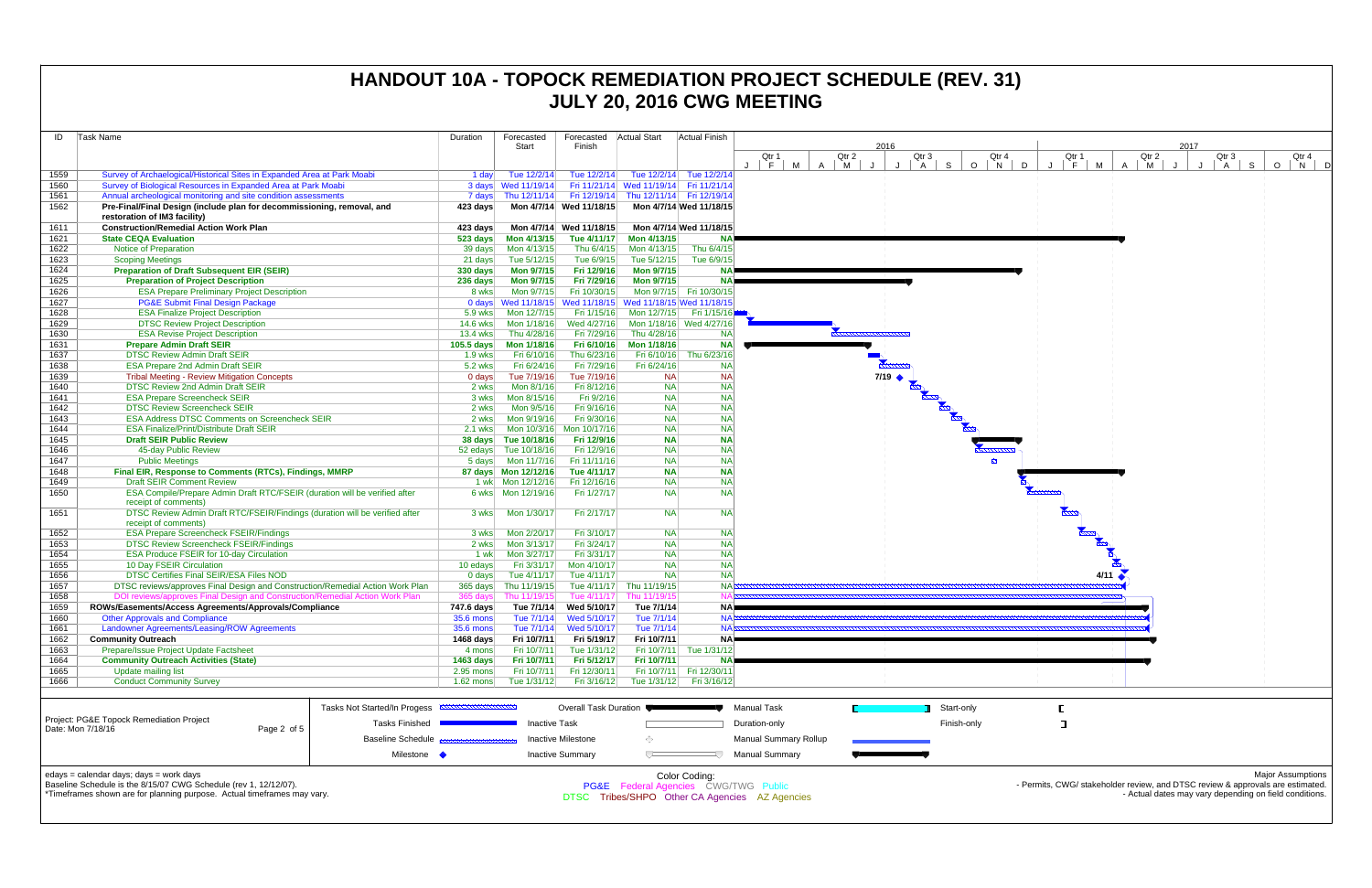| ID                                                                                                                                | Task Name                                                                                              |                                                        | Duration             | Forecasted<br>Start  | Forecasted<br>Finish      | <b>Actual Start</b>       | Actual Finish             |                                 |                        | 2016 |                   |                                       |
|-----------------------------------------------------------------------------------------------------------------------------------|--------------------------------------------------------------------------------------------------------|--------------------------------------------------------|----------------------|----------------------|---------------------------|---------------------------|---------------------------|---------------------------------|------------------------|------|-------------------|---------------------------------------|
|                                                                                                                                   |                                                                                                        |                                                        |                      |                      |                           |                           |                           | Qtr 1                           | Qtr 2                  |      | Qtr 3             | Qtr 4                                 |
|                                                                                                                                   |                                                                                                        |                                                        |                      |                      |                           |                           |                           | $\mathbf{J}$<br>$\vdash$ F<br>M | $\mathsf{A}$<br>M<br>J | J    | S<br>$\mathsf{A}$ | $\circ$<br>$\overline{\phantom{a}}$ N |
| 1559                                                                                                                              | Survey of Archaelogical/Historical Sites in Expanded Area at Park Moabi                                |                                                        | 1 day                | Tue 12/2/14          | Tue 12/2/14               |                           | Tue 12/2/14 Tue 12/2/14   |                                 |                        |      |                   |                                       |
| 1560                                                                                                                              | Survey of Biological Resources in Expanded Area at Park Moabi                                          |                                                        |                      |                      | Fri 11/21/14              | Wed 11/19/14 Fri 11/21/14 |                           |                                 |                        |      |                   |                                       |
| 1561                                                                                                                              | Annual archeological monitoring and site condition assessments                                         |                                                        | 7 days               | Thu 12/11/14         | Fri 12/19/14              |                           | Thu 12/11/14 Fri 12/19/14 |                                 |                        |      |                   |                                       |
| 1562                                                                                                                              | Pre-Final/Final Design (include plan for decommissioning, removal, and<br>restoration of IM3 facility) |                                                        | 423 days             | Mon 4/7/14           | Wed 11/18/15              |                           | Mon 4/7/14 Wed 11/18/15   |                                 |                        |      |                   |                                       |
| 1611                                                                                                                              | <b>Construction/Remedial Action Work Plan</b>                                                          |                                                        | 423 days             | Mon 4/7/14           | Wed 11/18/15              |                           | Mon 4/7/14 Wed 11/18/15   |                                 |                        |      |                   |                                       |
| 1621                                                                                                                              | <b>State CEQA Evaluation</b>                                                                           |                                                        | 523 days             | Mon 4/13/15          | Tue 4/11/17               | Mon 4/13/15               | <b>NA</b>                 |                                 |                        |      |                   |                                       |
| 1622                                                                                                                              | Notice of Preparation                                                                                  |                                                        | 39 days              | Mon 4/13/15          | Thu 6/4/15                | Mon 4/13/15               | Thu 6/4/15                |                                 |                        |      |                   |                                       |
| 1623                                                                                                                              | <b>Scoping Meetings</b>                                                                                |                                                        | 21 days              | Tue 5/12/15          | Tue 6/9/15                | Tue 5/12/15               | Tue 6/9/15                |                                 |                        |      |                   |                                       |
| 1624                                                                                                                              | <b>Preparation of Draft Subsequent EIR (SEIR)</b>                                                      | 330 days                                               | <b>Mon 9/7/15</b>    | Fri 12/9/16          | <b>Mon 9/7/15</b>         | <b>NA</b>                 |                           |                                 |                        |      |                   |                                       |
| 1625                                                                                                                              | <b>Preparation of Project Description</b>                                                              | 236 days                                               | <b>Mon 9/7/15</b>    | Fri 7/29/16          | <b>Mon 9/7/15</b>         | <b>NA</b>                 |                           |                                 |                        |      |                   |                                       |
| 1626                                                                                                                              | <b>ESA Prepare Preliminary Project Description</b>                                                     |                                                        | 8 wks                | Mon 9/7/15           | Fri 10/30/15              |                           | Mon 9/7/15 Fri 10/30/15   |                                 |                        |      |                   |                                       |
| 1627                                                                                                                              | <b>PG&amp;E Submit Final Design Package</b>                                                            |                                                        |                      | 0 days Wed 11/18/15  | Wed 11/18/15              | Wed 11/18/15 Wed 11/18/15 |                           |                                 |                        |      |                   |                                       |
| 1628                                                                                                                              | <b>ESA Finalize Project Description</b>                                                                |                                                        | 5.9 wks              | Mon 12/7/15          | Fri 1/15/16               | Mon 12/7/15               | Fri 1/15/16               |                                 |                        |      |                   |                                       |
| 1629                                                                                                                              | <b>DTSC Review Project Description</b>                                                                 |                                                        | 14.6 wks             | Mon 1/18/16          | Wed 4/27/16               |                           | Mon 1/18/16 Wed 4/27/16   |                                 |                        |      |                   |                                       |
| 1630                                                                                                                              | <b>ESA Revise Project Description</b>                                                                  |                                                        | 13.4 wks             | Thu 4/28/16          | Fri 7/29/16               | Thu 4/28/16               | <b>NA</b>                 |                                 |                        |      |                   |                                       |
| 1631                                                                                                                              | <b>Prepare Admin Draft SEIR</b>                                                                        |                                                        | 105.5 days           | Mon 1/18/16          | Fri 6/10/16               | Mon 1/18/16               | <b>NA</b>                 |                                 |                        |      |                   |                                       |
| 1637                                                                                                                              | <b>DTSC Review Admin Draft SEIR</b>                                                                    |                                                        | $1.9$ wks            | Fri 6/10/16          | Thu 6/23/16               |                           | Fri 6/10/16 Thu 6/23/16   |                                 |                        |      |                   |                                       |
| 1638                                                                                                                              | <b>ESA Prepare 2nd Admin Draft SEIR</b>                                                                |                                                        | 5.2 wks              | Fri 6/24/16          | Fri 7/29/16               | Fri 6/24/16               | <b>NA</b>                 |                                 |                        |      |                   |                                       |
| 1639                                                                                                                              | <b>Tribal Meeting - Review Mitigation Concepts</b>                                                     |                                                        | $0$ days             | Tue 7/19/16          | Tue 7/19/16               | <b>NA</b>                 | <b>NA</b>                 |                                 |                        |      |                   |                                       |
| 1640                                                                                                                              | <b>DTSC Review 2nd Admin Draft SEIR</b>                                                                |                                                        | 2 wks                | Mon 8/1/16           | Fri 8/12/16               | <b>NA</b>                 | <b>NA</b>                 |                                 |                        |      |                   |                                       |
| 1641                                                                                                                              | <b>ESA Prepare Screencheck SEIR</b>                                                                    |                                                        |                      |                      |                           | Fri 9/2/16<br><b>NA</b>   | <b>NA</b>                 |                                 |                        |      |                   |                                       |
| 1642                                                                                                                              | <b>DTSC Review Screencheck SEIR</b>                                                                    |                                                        |                      |                      |                           | Fri 9/16/16<br><b>NA</b>  | <b>NA</b>                 |                                 |                        |      |                   |                                       |
| 1643                                                                                                                              | <b>ESA Address DTSC Comments on Screencheck SEIR</b>                                                   |                                                        | 2 wks                | Mon 9/19/16          | Fri 9/30/16               | <b>NA</b>                 | <b>NA</b>                 |                                 |                        |      |                   |                                       |
| 1644                                                                                                                              | <b>ESA Finalize/Print/Distribute Draft SEIR</b>                                                        | $2.1$ wks                                              | Mon 10/3/16          | Mon 10/17/16         | <b>NA</b>                 | <b>NA</b>                 |                           |                                 |                        |      |                   |                                       |
| 1645                                                                                                                              | <b>Draft SEIR Public Review</b>                                                                        |                                                        |                      |                      |                           | <b>NA</b><br>Fri 12/9/16  | <b>NA</b>                 |                                 |                        |      |                   | <b>Propriet Community</b>             |
| 1646                                                                                                                              | 45-day Public Review                                                                                   |                                                        |                      |                      |                           | <b>NA</b><br>Fri 12/9/16  | <b>NA</b>                 |                                 |                        |      |                   |                                       |
| 1647                                                                                                                              | <b>Public Meetings</b>                                                                                 | 5 days                                                 | Mon 11/7/16          | Fri 11/11/16         | <b>NA</b>                 | <b>NA</b>                 |                           |                                 |                        |      |                   |                                       |
| 1648                                                                                                                              |                                                                                                        | Final EIR, Response to Comments (RTCs), Findings, MMRP |                      |                      |                           | <b>NA</b><br>Tue 4/11/17  | <b>NA</b>                 |                                 |                        |      |                   |                                       |
| 1649                                                                                                                              | <b>Draft SEIR Comment Review</b>                                                                       |                                                        |                      |                      | Fri 12/16/16              | <b>NA</b>                 | <b>NA</b>                 |                                 |                        |      |                   |                                       |
| 1650                                                                                                                              | ESA Compile/Prepare Admin Draft RTC/FSEIR (duration will be verified after<br>receipt of comments)     |                                                        |                      | 6 wks   Mon 12/19/16 | Fri 1/27/17               | <b>NA</b>                 | <b>NA</b>                 |                                 |                        |      |                   |                                       |
| 1651                                                                                                                              | DTSC Review Admin Draft RTC/FSEIR/Findings (duration will be verified after<br>receipt of comments)    |                                                        | 3 wks                | Mon 1/30/17          | Fri 2/17/17               | <b>NA</b>                 | <b>NA</b>                 |                                 |                        |      |                   |                                       |
| 1652                                                                                                                              | <b>ESA Prepare Screencheck FSEIR/Findings</b>                                                          |                                                        | 3 wks                | Mon 2/20/17          | Fri 3/10/17               | <b>NA</b>                 | <b>NA</b>                 |                                 |                        |      |                   |                                       |
| 1653                                                                                                                              | <b>DTSC Review Screencheck FSEIR/Findings</b>                                                          |                                                        | 2 wks                | Mon 3/13/17          | Fri 3/24/17               | <b>NA</b>                 | <b>NA</b>                 |                                 |                        |      |                   |                                       |
| 1654                                                                                                                              | <b>ESA Produce FSEIR for 10-day Circulation</b>                                                        |                                                        | 1 wk                 | Mon 3/27/17          | Fri 3/31/17               | <b>NA</b>                 | <b>NA</b>                 |                                 |                        |      |                   |                                       |
| 1655                                                                                                                              | 10 Day FSEIR Circulation                                                                               |                                                        | 10 edays             | Fri 3/31/17          | Mon 4/10/17               | <b>NA</b>                 | <b>NA</b>                 |                                 |                        |      |                   |                                       |
| 1656                                                                                                                              | DTSC Certifies Final SEIR/ESA Files NOD                                                                |                                                        | $0$ days             | Tue 4/11/17          | Tue 4/11/17               | <b>NA</b>                 | <b>NA</b>                 |                                 |                        |      |                   |                                       |
| 1657                                                                                                                              | DTSC reviews/approves Final Design and Construction/Remedial Action Work Plan                          |                                                        | $365$ days           | Thu 11/19/15         | Tue 4/11/17               | Thu 11/19/15              | <b>NA</b>                 |                                 |                        |      |                   |                                       |
| 1658                                                                                                                              | DOI reviews/approves Final Design and Construction/Remedial Action Work Plan                           |                                                        | 365 days             | Thu 11/19/15         | Tue 4/11/17               | Thu 11/19/15              |                           |                                 |                        |      |                   |                                       |
| 1659                                                                                                                              | ROWs/Easements/Access Agreements/Approvals/Compliance                                                  |                                                        | 747.6 days           | Tue 7/1/14           | Wed 5/10/17               | Tue 7/1/14                | <b>NAP</b>                |                                 |                        |      |                   |                                       |
| 1660                                                                                                                              | <b>Other Approvals and Compliance</b>                                                                  |                                                        | 35.6 mons            | Tue 7/1/14           | Wed 5/10/17               | Tue 7/1/14                | <b>NAR</b>                |                                 |                        |      |                   |                                       |
| 1661                                                                                                                              | Landowner Agreements/Leasing/ROW Agreements                                                            |                                                        | 35.6 mons            | Tue 7/1/14           | Wed 5/10/17               | Tue 7/1/14                |                           | $NA \simeq$                     |                        |      |                   |                                       |
| 1662                                                                                                                              | <b>Community Outreach</b>                                                                              |                                                        | 1468 days            | Fri 10/7/11          | Fri 5/19/17               | Fri 10/7/11               | NA.                       |                                 |                        |      |                   |                                       |
| 1663                                                                                                                              | Prepare/Issue Project Update Factsheet                                                                 | 4 mons                                                 | Fri 10/7/11          | Tue 1/31/12          |                           | Fri 10/7/11 Tue 1/31/12   |                           |                                 |                        |      |                   |                                       |
| 1664                                                                                                                              | <b>Community Outreach Activities (State)</b>                                                           | <b>1463 days</b><br>2.95 mons                          | Fri 10/7/11          | Fri 5/12/17          | Fri 10/7/11               | <b>NA</b>                 |                           |                                 |                        |      |                   |                                       |
| 1665                                                                                                                              | <b>Update mailing list</b>                                                                             |                                                        |                      | Fri 10/7/11          | Fri 12/30/11              |                           | Fri 10/7/11 Fri 12/30/11  |                                 |                        |      |                   |                                       |
| 1666                                                                                                                              | <b>Conduct Community Survey</b>                                                                        |                                                        | $1.62$ mons          | Tue 1/31/12          | Fri 3/16/12               | Tue 1/31/12               | Fri 3/16/12               |                                 |                        |      |                   |                                       |
|                                                                                                                                   |                                                                                                        | Tasks Not Started/In Progess <b>ANNON DIRECTION</b>    |                      |                      | Overall Task Duration     |                           |                           | <b>Manual Task</b>              |                        |      |                   | Start-only                            |
| Project: PG&E Topock Remediation Project<br><b>Tasks Finished</b><br>Date: Mon 7/18/16<br>Page 2 of 5<br><b>Baseline Schedule</b> |                                                                                                        |                                                        | <b>Inactive Task</b> |                      |                           |                           | Duration-only             |                                 |                        |      | Finish-only       |                                       |
|                                                                                                                                   |                                                                                                        |                                                        |                      |                      | <b>Inactive Milestone</b> | ◇                         |                           | <b>Manual Summary Rollup</b>    |                        |      |                   |                                       |
| Milestone •                                                                                                                       |                                                                                                        |                                                        |                      |                      | <b>Inactive Summary</b>   | ▽                         |                           | <b>Manual Summary</b>           |                        |      |                   |                                       |
|                                                                                                                                   |                                                                                                        |                                                        |                      |                      |                           |                           |                           |                                 |                        |      |                   |                                       |

# **HANDOUT 10A - TOPOCK REMEDIATION PROJECT SCHEDULE (REV. 31) JULY 20, 2016 CWG MEETING**

edays = calendar days; days = work days



Baseline Schedule is the 8/15/07 CWG Schedule (rev 1, 12/12/07).

\*Timeframes shown are for planning purpose. Actual timeframes may vary.

Color Coding: PG&E Federal Agencies CWG/TWG Public

DTSC Tribes/SHPO Other CA Agencies AZ Agencies